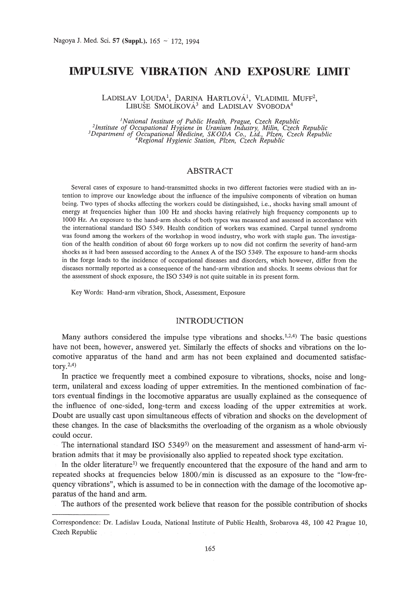# **IMPULSIVE VIBRATION AND EXPOSURE LIMIT**

LADISLAV LOUDA<sup>1</sup>, DARINA HARTLOVÁ<sup>1</sup>, VLADIMIL MUFF<sup>2</sup>, LIBUŠE SMOLÍKOVÁ<sup>3</sup> and LADISLAV SVOBODA<sup>4</sup>

*}National Institute of Public Health, Prague, Czech Republic* <sup>2</sup>Institute of Occupational Hygiene in Uranium Industry, Milin, Czech Republic<sup>3</sup><br>Department of Occupational Medicine, SKODA Co., Ltd., Plzen, Czech Republic<sup>3</sup><br><sup>4</sup>Regional Hygienic Station, Plzen, Czech Republic<sup>4</sup>

# ABSTRACT

Several cases of exposure to hand-transmitted shocks in two different factories were studied with an intention to improve our knowledge about the influence of the impulsive components of vibration on human being. Two types of shocks affecting the workers could be distinguished, i.e., shocks having small amount of energy at frequencies higher than 100 Hz and shocks having relatively high frequency components up to 1000 Hz. An exposure to the hand-arm shocks of both types was measured and assessed in accordance with the international standard ISO 5349. Health condition of workers was examined. Carpal tunnel syndrome was found among the workers of the workshop in wood industry, who work with staple gun. The investigation of the health condition of about 60 forge workers up to now did not confirm the severity of hand-arm shocks as it had been assessed according to the Annex A of the ISO 5349. The exposure to hand-arm shocks in the forge leads to the incidence of occupational diseases and disorders, which however, differ from the diseases normally reported as a consequence of the hand-arm vibration and shocks. It seems obvious that for the assessment of shock exposure, the ISO 5349 is not quite suitable in its present form.

Key Words: Hand-arm vibration, Shock, Assessment, Exposure

# INTRODUCTION

Many authors considered the impulse type vibrations and shocks.  $1,2,4$  The basic questions have not been, however, answered yet. Similarly the effects of shocks and vibrations on the locomotive apparatus of the hand and arm has not been explained and documented satisfactory. $^{2,4)}$ 

In practice we frequently meet a combined exposure to vibrations, shocks, noise and longterm, unilateral and excess loading of upper extremities. In the mentioned combination of factors eventual findings in the locomotive apparatus are usually explained as the consequence of the influence of one-sided, long-term and excess loading of the upper extremities at work. Doubt are usually cast upon simultaneous effects of vibration and shocks on the development of these changes. In the case of blacksmiths the overloading of the organism as a whole obviously could occur.

The international standard ISO  $5349^{5}$  on the measurement and assessment of hand-arm vibration admits that it may be provisionally also applied to repeated shock type excitation.

In the older literature<sup>1</sup>) we frequently encountered that the exposure of the hand and arm to repeated shocks at frequencies below 1800/min is discussed as an exposure to the "low-frequency vibrations", which is assumed to be in connection with the damage of the locomotive apparatus of the hand and arm.

The authors of the presented work believe that reason for the possible contribution of shocks

Correspondence: Dr. Ladislav Louda, National Institute of Public Health, Srobarova 48, 100 42 Prague 10, Czech Republic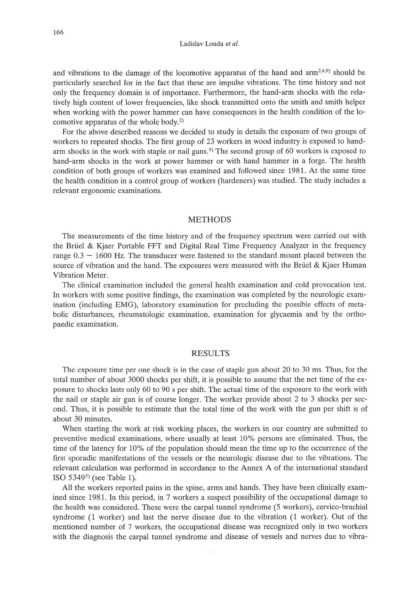and vibrations to the damage of the locomotive apparatus of the hand and  $arm<sup>2,4,9</sup>$  should be particularly searched for in the fact that these are impulse vibrations. The time history and not only the frequency domain is of importance. Furthermore, the hand-arm shocks with the relatively high content of lower frequencies, like shock transmitted onto the smith and smith helper when working with the power hammer can have consequences in the health condition of the locomotive apparatus of the whole body.2)

For the above described reasons we decided to study in details the exposure of two groups of workers to repeated shocks. The first group of 23 workers in wood industry is exposed to handarm shocks in the work with staple or nail guns.<sup>9)</sup> The second group of 60 workers is exposed to hand-arm shocks in the work at power hammer or with hand hammer in a forge. The health condition of both groups of workers was examined and followed since 1981. At the same time the health condition in a control group of workers (hardeners) was studied. The study includes a relevant ergonomic examinations.

## METHODS

The measurements of the time history and of the frequency spectrum were carried out with the Briiel & Kjaer Portable FFT and Digital Real Time Frequency Analyzer in the frequency range  $0.3 - 1600$  Hz. The transducer were fastened to the standard mount placed between the source of vibration and the hand. The exposures were measured with the Brüel  $\&$  Kjaer Human Vibration Meter.

The clinical examination included the general health examination and cold provocation test. **In** workers with some positive findings, the examination was completed by the neurologic examination (including EMG), laboratory examination for precluding the possible effects of metabolic disturbances, rheumatologic examination, examination for glycaemia and by the orthopaedic examination.

#### RESULTS

The exposure time per one shock is in the case of staple gun about 20 to 30 ms. Thus, for the total number of about 3000 shocks per shift, it is possible to assume that the net time of the exposure to shocks lasts only 60 to 90 s per shift. The actual time of the exposure to the work with the nail or staple air gun is of course longer. The worker provide about 2 to 3 shocks per second. Thus, it is possible to estimate that the total time of the work with the gun per shift is of about 30 minutes.

When starting the work at risk working places, the workers in our country are submitted to preventive medical examinations, where usually at least 10% persons are eliminated. Thus, the time of the latency for 10% of the population should mean the time up to the occurrence of the first sporadic manifestations of the vessels or the neurologic disease due to the vibrations. The relevant calculation was performed in accordance to the Annex A of the international standard ISO  $5349<sup>5</sup>$  (see Table 1).

All the workers reported pains in the spine, arms and hands. They have been clinically examined since 1981. **In** this period, in 7 workers a suspect possibility of the occupational damage to the health was considered. These were the carpal tunnel syndrome (5 workers), cervico-brachial syndrome (1 worker) and last the nerve disease due to the vibration (1 worker). Out of the mentioned number of 7 workers, the occupational disease was recognized only in two workers with the diagnosis the carpal tunnel syndrome and disease of vessels and nerves due to vibra-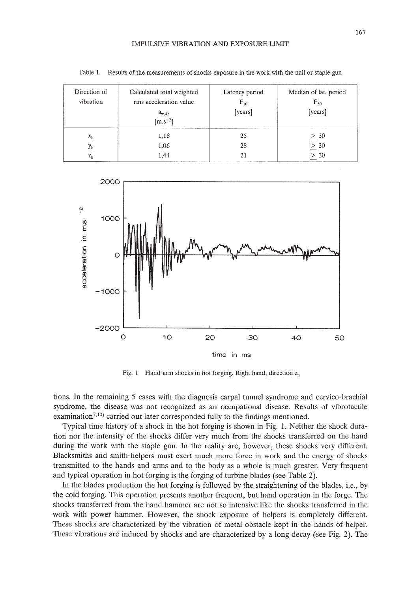#### IMPULSIVE VIBRATION AND EXPOSURE LIMIT

| Direction of<br>vibration | Calculated total weighted<br>rms acceleration value<br>$a_{w,4h}$<br>[m.s <sup>-2</sup> ] | Latency period<br>$F_{10}$<br>[years] | Median of lat. period<br>$F_{50}$<br>[years] |
|---------------------------|-------------------------------------------------------------------------------------------|---------------------------------------|----------------------------------------------|
| x <sub>h</sub>            | 1,18                                                                                      | 25                                    | > 30                                         |
| y <sub>h</sub>            | 1,06                                                                                      | 28                                    | $\geq 30$                                    |
| z <sub>h</sub>            | 1,44                                                                                      | 21                                    | > 30                                         |

Table 1. Results of the measurements of shocks exposure in the work with the nail or staple gun



Fig. 1 Hand-arm shocks in hot forging. Right hand, direction  $z<sub>h</sub>$ 

tions. In the remaining 5 cases with the diagnosis carpal tunnel syndrome and cervico-brachial syndrome, the disease was not recognized as an occupational disease. Results of vibrotactile examination<sup>7,10</sup>) carried out later corresponded fully to the findings mentioned.

Typical time history of a shock in the hot forging is shown in Fig. 1. Neither the shock duration nor the intensity of the shocks differ very much from the shocks transferred on the hand during the work with the staple gun. In the reality are, however, these shocks very different. Blacksmiths and smith-helpers must exert much more force in work and the energy of shocks transmitted to the hands and arms and to the body as a whole is much greater. Very frequent and typical operation in hot forging is the forging of turbine blades (see Table 2).

In the blades production the hot forging is followed by the straightening of the blades, i.e., by the cold forging. This operation presents another frequent, but hand operation in the forge. The shocks transferred from the hand hammer are not so intensive like the shocks transferred in the work with power hammer. However, the shock exposure of helpers is completely different. These shocks are characterized by the vibration of metal obstacle kept in the hands of helper. These vibrations are induced by shocks and are characterized by a long decay (see Fig. 2). The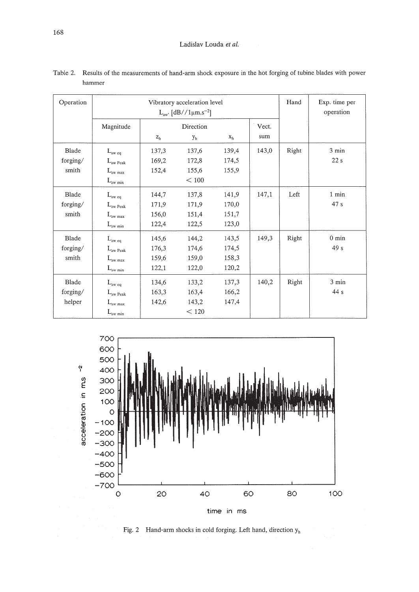| Operation | Vibratory acceleration level<br>$L_{aw}$ [dB//1 $\mu$ m.s <sup>-2</sup> ] |                |                |                | Hand  | Exp. time per<br>operation |                 |
|-----------|---------------------------------------------------------------------------|----------------|----------------|----------------|-------|----------------------------|-----------------|
|           | Magnitude                                                                 |                | Direction      |                |       |                            |                 |
|           |                                                                           | z <sub>h</sub> | y <sub>h</sub> | x <sub>h</sub> | sum   |                            |                 |
| Blade     | $L_{\text{aw eq}}$                                                        | 137,3          | 137,6          | 139,4          | 143,0 | Right                      | 3 min           |
| forging/  | $L_{\text{aw Peak}}$                                                      | 169,2          | 172,8          | 174,5          |       |                            | 22s             |
| smith     | $L_{\rm aw \; max}$                                                       | 152,4          | 155,6          | 155,9          |       |                            |                 |
|           | $L_{\text{aw min}}$                                                       |                | < 100          |                |       |                            |                 |
| Blade     | $L_{\rm aw\ eq}$                                                          | 144,7          | 137,8          | 141,9          | 147,1 | Left                       | 1 min           |
| forging/  | $L_{\text{aw Peak}}$                                                      | 171,9          | 171,9          | 170,0          |       |                            | 47 s            |
| smith     | $L_{\rm aw \ max}$                                                        | 156,0          | 151,4          | 151,7          |       |                            |                 |
|           | $L_{\text{aw min}}$                                                       | 122,4          | 122,5          | 123,0          |       |                            |                 |
| Blade     | $L_{\rm aw\ eq}$                                                          | 145,6          | 144,2          | 143,5          | 149,3 | Right                      | $0 \text{ min}$ |
| forging/  | $L_{\rm aw\;Peak}$                                                        | 176,3          | 174,6          | 174,5          |       |                            | 49 <sub>s</sub> |
| smith     | $L_{\text{aw max}}$                                                       | 159,6          | 159,0          | 158,3          |       |                            |                 |
|           | $L_{\text{aw min}}$                                                       | 122,1          | 122,0          | 120,2          |       |                            |                 |
| Blade     | $L_{\rm aw\ eq}$                                                          | 134,6          | 133,2          | 137,3          | 140,2 | Right                      | $3 \text{ min}$ |
| forging/  | $L_{\text{aw Peak}}$                                                      | 163,3          | 163,4          | 166,2          |       |                            | 44 s            |
| helper    | $L_{\text{aw max}}$                                                       | 142,6          | 143,2          | 147,4          |       |                            |                 |
|           | $L_{\mathrm{aw}\; \mathrm{min}}$                                          |                | < 120          |                |       |                            |                 |

Table 2. Results of the measurements of hand-arm shock exposure in the hot forging of tubine blades with power hammer



Fig. 2 Hand-arm shocks in cold forging. Left hand, direction  $y<sub>h</sub>$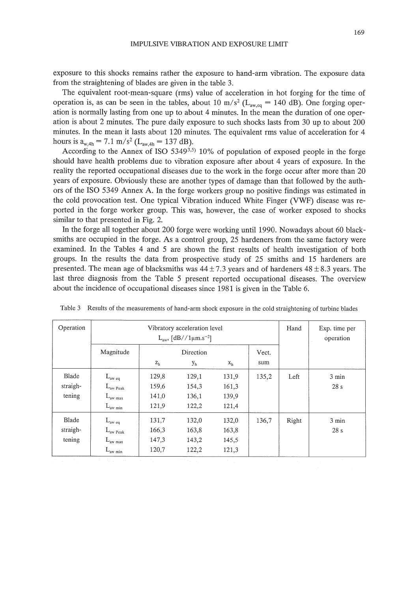exposure to this shocks remains rather the exposure to hand-arm vibration. The exposure data from the straightening of blades are given in the table 3.

The equivalent root-mean-square (rms) value of acceleration in hot forging for the time of operation is, as can be seen in the tables, about 10 m/s<sup>2</sup> ( $L_{\text{avec}} = 140$  dB). One forging operation is normally lasting from one up to about 4 minutes. In the mean the duration of one operation is about 2 minutes. The pure daily exposure to such shocks lasts from 30 up to about 200 minutes. In the mean it lasts about 120 minutes. The equivalent rms value of acceleration for 4 hours is  $a_{w,4h} = 7.1$  m/s<sup>2</sup> (L<sub>aw,4h</sub> = 137 dB).

According to the Annex of ISO 5349 $3,5$ ) 10% of population of exposed people in the forge should have health problems due to vibration exposure after about 4 years of exposure. In the reality the reported occupational diseases due to the work in the forge occur after more than 20 years of exposure. Obviously these are another types of damage than that followed by the authors of the ISO 5349 Annex A. In the forge workers group no positive findings was estimated in the cold provocation test. One typical Vibration induced White Finger (VWF) disease was reported in the forge worker group. This was, however, the case of worker exposed to shocks similar to that presented in Fig. 2.

In the forge all together about 200 forge were working until 1990. Nowadays about 60 blacksmiths are occupied in the forge. As a control group, 25 hardeners from the same factory were examined. In the Tables 4 and 5 are shown the first results of health investigation of both groups. In the results the data from prospective study of 25 smiths and 15 hardeners are presented. The mean age of blacksmiths was  $44 \pm 7.3$  years and of hardeners  $48 \pm 8.3$  years. The last three diagnosis from the Table 5 present reported occupational diseases. The overview about the incidence of occupational diseases since 1981 is given in the Table 6.

| Operation                   | Vibratory acceleration level<br>$L_{\text{aw}}$ , [dB//1 $\mu$ m.s <sup>-2</sup> ]       |                                  |                                  |                                  | Hand         | Exp. time per<br>operation |              |
|-----------------------------|------------------------------------------------------------------------------------------|----------------------------------|----------------------------------|----------------------------------|--------------|----------------------------|--------------|
|                             | Magnitude                                                                                | $z_{h}$                          | Direction<br>y <sub>h</sub>      | $X_{h}$                          | Vect.<br>sum |                            |              |
| Blade<br>straigh-<br>tening | $L_{\rm aw\ eq}$<br>$L_{\text{aw Peak}}$<br>$L_{\text{aw max}}$<br>$L_{\text{aw min}}$   | 129,8<br>159,6<br>141,0<br>121,9 | 129,1<br>154,3<br>136,1<br>122,2 | 131,9<br>161,3<br>139,9<br>121,4 | 135,2        | Left                       | 3 min<br>28s |
| Blade<br>straigh-<br>tening | $L_{\text{aw eq}}$<br>$L_{\text{aw Peak}}$<br>$L_{\text{aw max}}$<br>$L_{\text{aw min}}$ | 131,7<br>166,3<br>147,3<br>120,7 | 132,0<br>163,8<br>143,2<br>122,2 | 132,0<br>163,8<br>145,5<br>121,3 | 136,7        | Right                      | 3 min<br>28s |

Table 3 Results of the measurements of hand-arm shock exposure in the cold straightening of turbine blades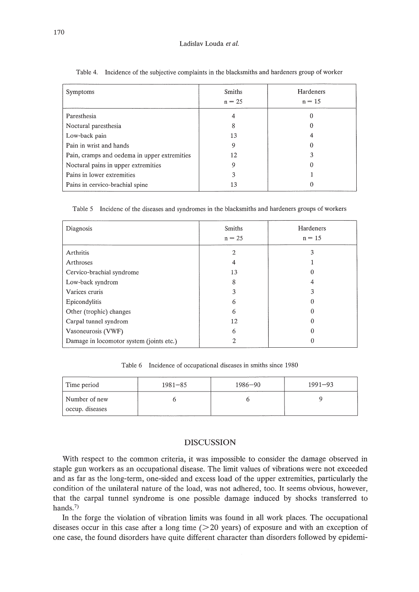#### Ladislav Louda *et at.*

| Symptoms                                     | <b>Smiths</b><br>$n = 25$ | Hardeners<br>$n = 15$ |
|----------------------------------------------|---------------------------|-----------------------|
| Paresthesia                                  |                           |                       |
| Noctural paresthesia                         | 8                         |                       |
| Low-back pain                                | 13                        |                       |
| Pain in wrist and hands                      |                           |                       |
| Pain, cramps and oedema in upper extremities | 12                        |                       |
| Noctural pains in upper extremities          |                           |                       |
| Pains in lower extremities                   | 3                         |                       |
| Pains in cervico-brachial spine              | 13                        |                       |

Table 4. Incidence of the subjective complaints in the blacksmiths and hardeners group of worker

Table 5 Incidenc of the diseases and syndromes in the blacksmiths and hardeners groups of workers

| Diagnosis                                | <b>Smiths</b><br>$n = 25$ | Hardeners<br>$n = 15$ |  |
|------------------------------------------|---------------------------|-----------------------|--|
| Arthritis                                | 2                         | 3                     |  |
| Arthroses                                | 4                         |                       |  |
| Cervico-brachial syndrome                | 13                        |                       |  |
| Low-back syndrom                         | 8                         | 4                     |  |
| Varices cruris                           | 3                         | 3                     |  |
| Epicondylitis                            | 6                         | 0                     |  |
| Other (trophic) changes                  | 6                         | 0                     |  |
| Carpal tunnel syndrom                    | 12                        |                       |  |
| Vasoneurosis (VWF)                       | 6                         |                       |  |
| Damage in locomotor system (joints etc.) | 2                         |                       |  |

Table 6 Incidence of occupational diseases in smiths since 1980

| Time period     | $1981 - 85$ |  | $1991 - 93$ |  |
|-----------------|-------------|--|-------------|--|
| Number of new   |             |  |             |  |
| occup. diseases |             |  |             |  |

### DISCUSSION

With respect to the common criteria, it was impossible to consider the damage observed in staple gun workers as an occupational disease. The limit values of vibrations were not exceeded and as far as the long-term, one-sided and excess load of the upper extremities, particularly the condition of the unilateral nature of the load, was not adhered, too. It seems obvious, however, that the carpal tunnel syndrome is one possible damage induced by shocks transferred to hands.<sup>7)</sup>

In the forge the violation of vibration limits was found in all work places. The occupational diseases occur in this case after a long time  $(>=20$  years) of exposure and with an exception of one case, the found disorders have quite different character than disorders followed by epidemi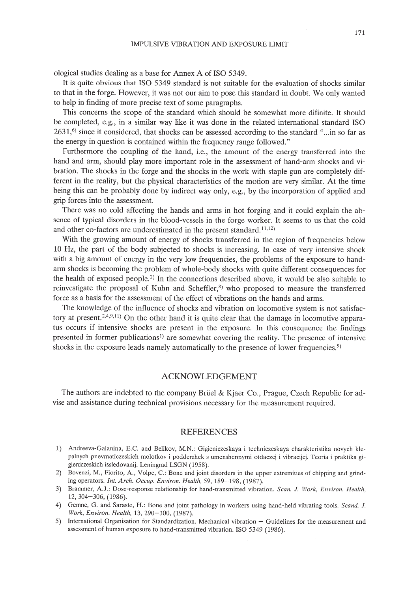ological studies dealing as a base for Annex A of ISO 5349.

It is quite obvious that ISO 5349 standard is not suitable for the evaluation of shocks similar to that in the forge. However, it was not our aim to pose this standard in doubt. We only wanted to help in finding of more precise text of some paragraphs.

This concerns the scope of the standard which should be somewhat more difinite. It should be completed, e.g., in a similar way like it was done in the related international standard ISO 2631,<sup>6</sup>) since it considered, that shocks can be assessed according to the standard "...in so far as the energy in question is contained within the frequency range followed."

Furthermore the coupling of the hand, i.e., the amount of the energy transferred into the hand and arm, should play more important role in the assessment of hand-arm shocks and vibration. The shocks in the forge and the shocks in the work with staple gun are completely different in the reality, but the physical characteristics of the motion are very similar. At the time being this can be probably done by indirect way only, e.g., by the incorporation of applied and grip forces into the assessment.

There was no cold affecting the hands and arms in hot forging and it could explain the absence of typical disorders in the blood-vessels in the forge worker. It seems to us that the cold and other co-factors are underestimated in the present standard.  $(11,12)$ 

With the growing amount of energy of shocks transferred in the region of frequencies below 10 Hz, the part of the body subjected to shocks is increasing. In case of very intensive shock with a big amount of energy in the very low frequencies, the problems of the exposure to handarm shocks is becoming the problem of whole-body shocks with quite different consequences for the health of exposed people.<sup>2)</sup> In the connections described above, it would be also suitable to reinvestigate the proposal of Kuhn and Scheffler, $s$ ) who proposed to measure the transferred force as a basis for the assessment of the effect of vibrations on the hands and arms.

The knowledge of the influence of shocks and vibration on locomotive system is not satisfactory at present.<sup>2,4,9,11</sup>) On the other hand it is quite clear that the damage in locomotive apparatus occurs if intensive shocks are present in the exposure. In this consequence the findings presented in former publications<sup>1</sup> are somewhat covering the reality. The presence of intensive shocks in the exposure leads namely automatically to the presence of lower frequencies.<sup>9)</sup>

## ACKNOWLEDGEMENT

The authors are indebted to the company Brüel & Kjaer Co., Prague, Czech Republic for advise and assistance during technical provisions necessary for the measurement required.

### REFERENCES

- 1) Andreeva-Galanina, E.C. and Belikov, M.N.: Gigieniczeskaya i techniczeskaya charakteristika novych klepalnych pnevmaticzeskich molotkov i podderzhek s umenshennymi otdaczej i vibracijej. Teoria i praktika gigieniczeskich issledovanij. Leningrad LSGN (1958).
- 2) Bovenzi, M., Fiorito, A., Volpe, c.: Bone and joint disorders in the upper extremities of chipping and grinding operators. *Int. Arch. Occup. Environ. Health,* 59, 189- 198, (1987).
- 3) Brammer, A.J.: Dose-response relationship for hand-transmitted vibration. *Scan.* 1. *Work, Environ. Health,* 12,304-306, (1986).
- 4) Gemne, G. and Saraste, H.: Bone and joint pathology in workers using hand-held vibrating tools. *Scand.* J. *Work, Environ. Health,* 13,290-300, (1987).
- 5) International Organisation for Standardization. Mechanical vibration Guidelines for the measurement and assessment of human exposure to hand-transmitted vibration. ISO 5349 (1986).